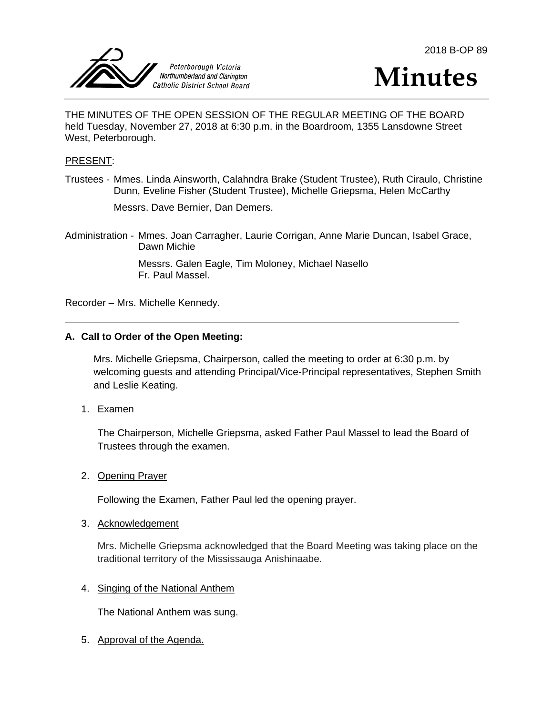





THE MINUTES OF THE OPEN SESSION OF THE REGULAR MEETING OF THE BOARD held Tuesday, November 27, 2018 at 6:30 p.m. in the Boardroom, 1355 Lansdowne Street West, Peterborough.

#### PRESENT:

Trustees - Mmes. Linda Ainsworth, Calahndra Brake (Student Trustee), Ruth Ciraulo, Christine Dunn, Eveline Fisher (Student Trustee), Michelle Griepsma, Helen McCarthy

Messrs. Dave Bernier, Dan Demers.

Administration - Mmes. Joan Carragher, Laurie Corrigan, Anne Marie Duncan, Isabel Grace, Dawn Michie

> Messrs. Galen Eagle, Tim Moloney, Michael Nasello Fr. Paul Massel.

Recorder – Mrs. Michelle Kennedy.

#### **A. Call to Order of the Open Meeting:**

Mrs. Michelle Griepsma, Chairperson, called the meeting to order at 6:30 p.m. by welcoming guests and attending Principal/Vice-Principal representatives, Stephen Smith and Leslie Keating.

1. Examen

The Chairperson, Michelle Griepsma, asked Father Paul Massel to lead the Board of Trustees through the examen.

2. Opening Prayer

Following the Examen, Father Paul led the opening prayer.

#### 3. Acknowledgement

Mrs. Michelle Griepsma acknowledged that the Board Meeting was taking place on the traditional territory of the Mississauga Anishinaabe.

#### 4. Singing of the National Anthem

The National Anthem was sung.

5. Approval of the Agenda.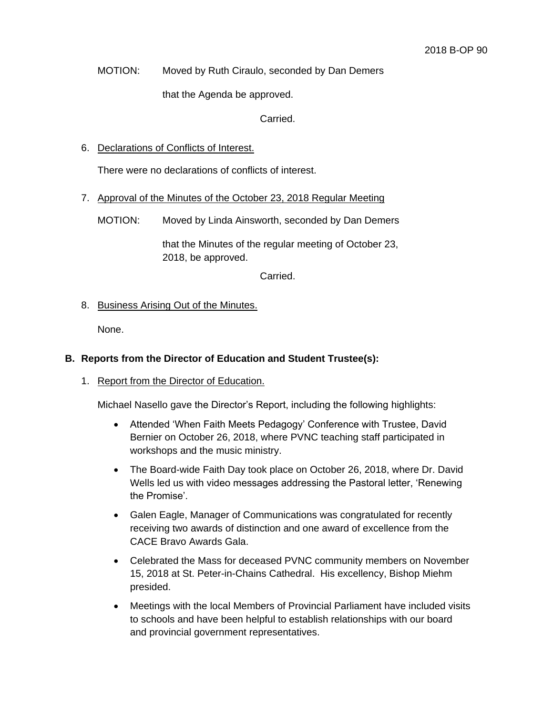MOTION: Moved by Ruth Ciraulo, seconded by Dan Demers

that the Agenda be approved.

Carried.

6. Declarations of Conflicts of Interest.

There were no declarations of conflicts of interest.

7. Approval of the Minutes of the October 23, 2018 Regular Meeting

MOTION: Moved by Linda Ainsworth, seconded by Dan Demers

that the Minutes of the regular meeting of October 23, 2018, be approved.

Carried.

## 8. Business Arising Out of the Minutes.

None.

### **B. Reports from the Director of Education and Student Trustee(s):**

#### 1. Report from the Director of Education.

Michael Nasello gave the Director's Report, including the following highlights:

- Attended 'When Faith Meets Pedagogy' Conference with Trustee, David Bernier on October 26, 2018, where PVNC teaching staff participated in workshops and the music ministry.
- The Board-wide Faith Day took place on October 26, 2018, where Dr. David Wells led us with video messages addressing the Pastoral letter, 'Renewing the Promise'.
- Galen Eagle, Manager of Communications was congratulated for recently receiving two awards of distinction and one award of excellence from the CACE Bravo Awards Gala.
- Celebrated the Mass for deceased PVNC community members on November 15, 2018 at St. Peter-in-Chains Cathedral. His excellency, Bishop Miehm presided.
- Meetings with the local Members of Provincial Parliament have included visits to schools and have been helpful to establish relationships with our board and provincial government representatives.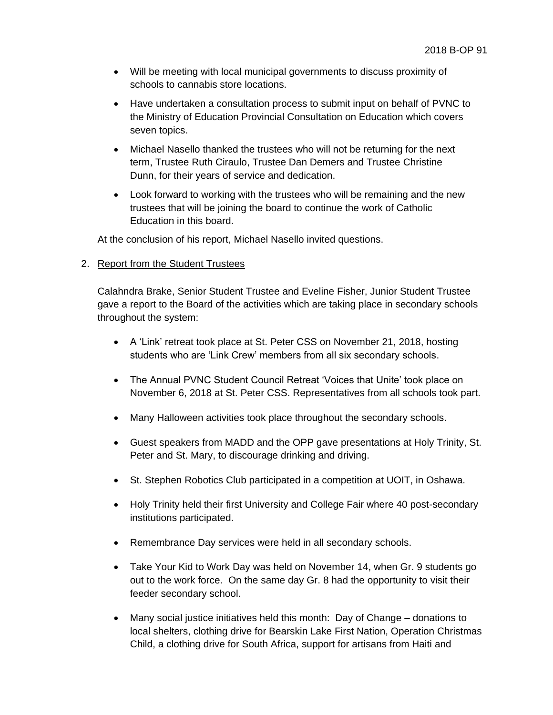- Will be meeting with local municipal governments to discuss proximity of schools to cannabis store locations.
- Have undertaken a consultation process to submit input on behalf of PVNC to the Ministry of Education Provincial Consultation on Education which covers seven topics.
- Michael Nasello thanked the trustees who will not be returning for the next term, Trustee Ruth Ciraulo, Trustee Dan Demers and Trustee Christine Dunn, for their years of service and dedication.
- Look forward to working with the trustees who will be remaining and the new trustees that will be joining the board to continue the work of Catholic Education in this board.

At the conclusion of his report, Michael Nasello invited questions.

## 2. Report from the Student Trustees

Calahndra Brake, Senior Student Trustee and Eveline Fisher, Junior Student Trustee gave a report to the Board of the activities which are taking place in secondary schools throughout the system:

- A 'Link' retreat took place at St. Peter CSS on November 21, 2018, hosting students who are 'Link Crew' members from all six secondary schools.
- The Annual PVNC Student Council Retreat 'Voices that Unite' took place on November 6, 2018 at St. Peter CSS. Representatives from all schools took part.
- Many Halloween activities took place throughout the secondary schools.
- Guest speakers from MADD and the OPP gave presentations at Holy Trinity, St. Peter and St. Mary, to discourage drinking and driving.
- St. Stephen Robotics Club participated in a competition at UOIT, in Oshawa.
- Holy Trinity held their first University and College Fair where 40 post-secondary institutions participated.
- Remembrance Day services were held in all secondary schools.
- Take Your Kid to Work Day was held on November 14, when Gr. 9 students go out to the work force. On the same day Gr. 8 had the opportunity to visit their feeder secondary school.
- Many social justice initiatives held this month: Day of Change donations to local shelters, clothing drive for Bearskin Lake First Nation, Operation Christmas Child, a clothing drive for South Africa, support for artisans from Haiti and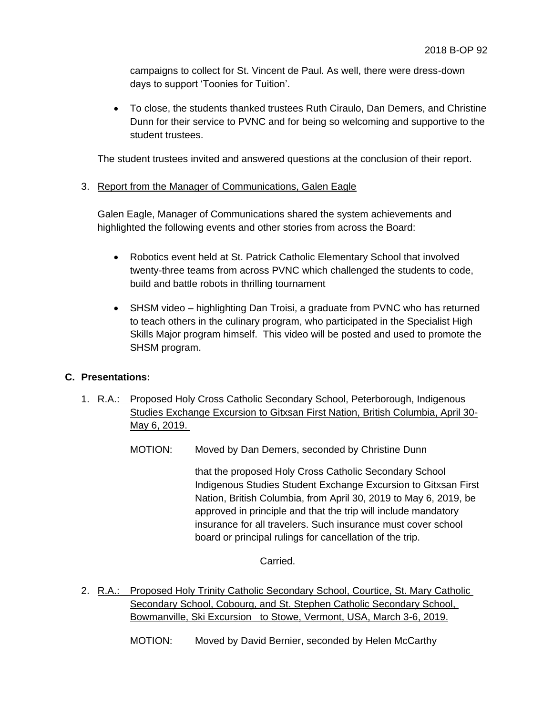campaigns to collect for St. Vincent de Paul. As well, there were dress-down days to support 'Toonies for Tuition'.

 To close, the students thanked trustees Ruth Ciraulo, Dan Demers, and Christine Dunn for their service to PVNC and for being so welcoming and supportive to the student trustees.

The student trustees invited and answered questions at the conclusion of their report.

# 3. Report from the Manager of Communications, Galen Eagle

Galen Eagle, Manager of Communications shared the system achievements and highlighted the following events and other stories from across the Board:

- Robotics event held at St. Patrick Catholic Elementary School that involved twenty-three teams from across PVNC which challenged the students to code, build and battle robots in thrilling tournament
- SHSM video highlighting Dan Troisi, a graduate from PVNC who has returned to teach others in the culinary program, who participated in the Specialist High Skills Major program himself. This video will be posted and used to promote the SHSM program.

## **C. Presentations:**

- 1. R.A.: Proposed Holy Cross Catholic Secondary School, Peterborough, Indigenous Studies Exchange Excursion to Gitxsan First Nation, British Columbia, April 30- May 6, 2019.
	- MOTION: Moved by Dan Demers, seconded by Christine Dunn

that the proposed Holy Cross Catholic Secondary School Indigenous Studies Student Exchange Excursion to Gitxsan First Nation, British Columbia, from April 30, 2019 to May 6, 2019, be approved in principle and that the trip will include mandatory insurance for all travelers. Such insurance must cover school board or principal rulings for cancellation of the trip.

Carried.

2. R.A.: Proposed Holy Trinity Catholic Secondary School, Courtice, St. Mary Catholic Secondary School, Cobourg, and St. Stephen Catholic Secondary School, Bowmanville, Ski Excursion to Stowe, Vermont, USA, March 3-6, 2019.

MOTION: Moved by David Bernier, seconded by Helen McCarthy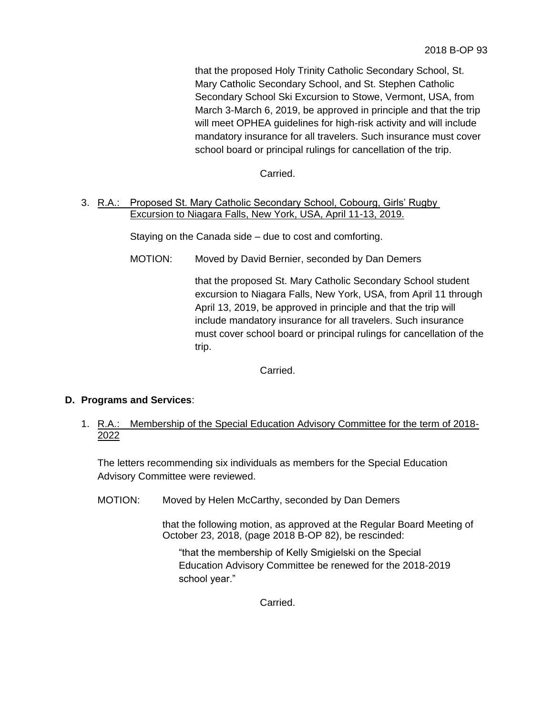that the proposed Holy Trinity Catholic Secondary School, St. Mary Catholic Secondary School, and St. Stephen Catholic Secondary School Ski Excursion to Stowe, Vermont, USA, from March 3-March 6, 2019, be approved in principle and that the trip will meet OPHEA guidelines for high-risk activity and will include mandatory insurance for all travelers. Such insurance must cover school board or principal rulings for cancellation of the trip.

Carried.

3. R.A.: Proposed St. Mary Catholic Secondary School, Cobourg, Girls' Rugby Excursion to Niagara Falls, New York, USA, April 11-13, 2019.

Staying on the Canada side – due to cost and comforting.

MOTION: Moved by David Bernier, seconded by Dan Demers

that the proposed St. Mary Catholic Secondary School student excursion to Niagara Falls, New York, USA, from April 11 through April 13, 2019, be approved in principle and that the trip will include mandatory insurance for all travelers. Such insurance must cover school board or principal rulings for cancellation of the trip.

Carried.

## **D. Programs and Services**:

1. R.A.: Membership of the Special Education Advisory Committee for the term of 2018- 2022

The letters recommending six individuals as members for the Special Education Advisory Committee were reviewed.

MOTION: Moved by Helen McCarthy, seconded by Dan Demers

that the following motion, as approved at the Regular Board Meeting of October 23, 2018, (page 2018 B-OP 82), be rescinded:

"that the membership of Kelly Smigielski on the Special Education Advisory Committee be renewed for the 2018-2019 school year."

Carried.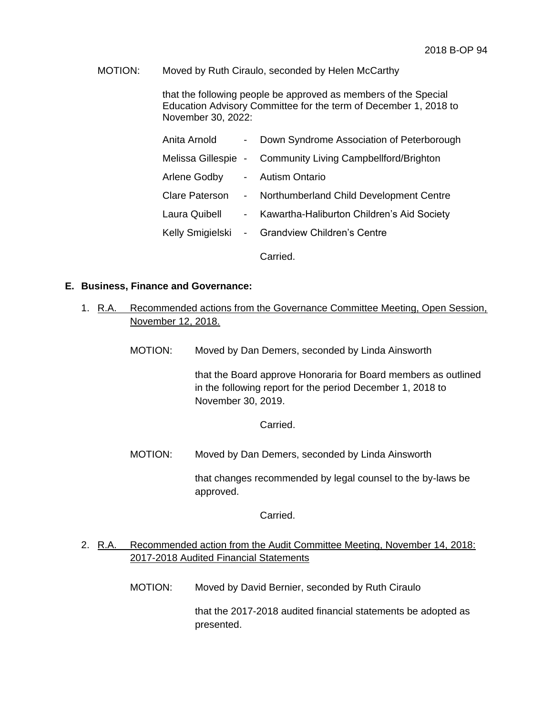## MOTION: Moved by Ruth Ciraulo, seconded by Helen McCarthy

that the following people be approved as members of the Special Education Advisory Committee for the term of December 1, 2018 to November 30, 2022:

| Anita Arnold                  |                  | - Down Syndrome Association of Peterborough                |
|-------------------------------|------------------|------------------------------------------------------------|
|                               |                  | Melissa Gillespie - Community Living Campbellford/Brighton |
| Arlene Godby - Autism Ontario |                  |                                                            |
| <b>Clare Paterson</b>         | $\sim$           | Northumberland Child Development Centre                    |
| Laura Quibell                 | $\sim$ 100 $\mu$ | Kawartha-Haliburton Children's Aid Society                 |
|                               |                  | Kelly Smigielski - Grandview Children's Centre             |
|                               |                  |                                                            |

Carried.

#### **E. Business, Finance and Governance:**

- 1. R.A. Recommended actions from the Governance Committee Meeting, Open Session, November 12, 2018.
	- MOTION: Moved by Dan Demers, seconded by Linda Ainsworth

that the Board approve Honoraria for Board members as outlined in the following report for the period December 1, 2018 to November 30, 2019.

Carried.

MOTION: Moved by Dan Demers, seconded by Linda Ainsworth

that changes recommended by legal counsel to the by-laws be approved.

Carried.

# 2. R.A. Recommended action from the Audit Committee Meeting, November 14, 2018: 2017-2018 Audited Financial Statements

MOTION: Moved by David Bernier, seconded by Ruth Ciraulo

that the 2017-2018 audited financial statements be adopted as presented.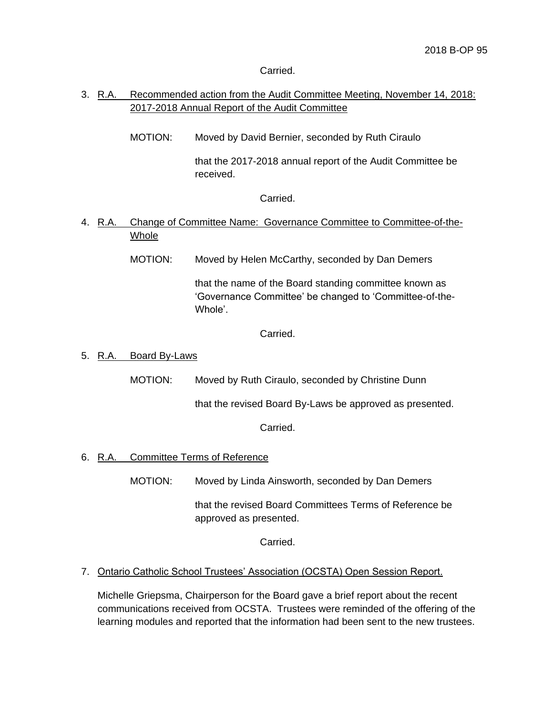Carried.

# 3. R.A. Recommended action from the Audit Committee Meeting, November 14, 2018: 2017-2018 Annual Report of the Audit Committee

MOTION: Moved by David Bernier, seconded by Ruth Ciraulo

that the 2017-2018 annual report of the Audit Committee be received.

Carried.

4. R.A. Change of Committee Name: Governance Committee to Committee-of-the-Whole

MOTION: Moved by Helen McCarthy, seconded by Dan Demers

that the name of the Board standing committee known as 'Governance Committee' be changed to 'Committee-of-the-Whole'.

Carried.

### 5. R.A. Board By-Laws

MOTION: Moved by Ruth Ciraulo, seconded by Christine Dunn

that the revised Board By-Laws be approved as presented.

Carried.

## 6. R.A. Committee Terms of Reference

MOTION: Moved by Linda Ainsworth, seconded by Dan Demers

that the revised Board Committees Terms of Reference be approved as presented.

Carried.

## 7. Ontario Catholic School Trustees' Association (OCSTA) Open Session Report.

Michelle Griepsma, Chairperson for the Board gave a brief report about the recent communications received from OCSTA. Trustees were reminded of the offering of the learning modules and reported that the information had been sent to the new trustees.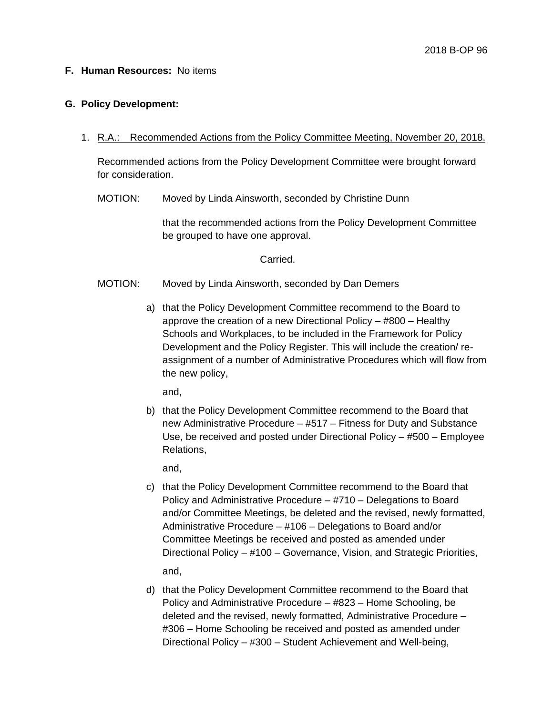#### **F. Human Resources:** No items

#### **G. Policy Development:**

1. R.A.: Recommended Actions from the Policy Committee Meeting, November 20, 2018.

Recommended actions from the Policy Development Committee were brought forward for consideration.

MOTION: Moved by Linda Ainsworth, seconded by Christine Dunn

that the recommended actions from the Policy Development Committee be grouped to have one approval.

Carried.

- MOTION: Moved by Linda Ainsworth, seconded by Dan Demers
	- a) that the Policy Development Committee recommend to the Board to approve the creation of a new Directional Policy – #800 – Healthy Schools and Workplaces, to be included in the Framework for Policy Development and the Policy Register. This will include the creation/ reassignment of a number of Administrative Procedures which will flow from the new policy,

and,

b) that the Policy Development Committee recommend to the Board that new Administrative Procedure – #517 – Fitness for Duty and Substance Use, be received and posted under Directional Policy – #500 – Employee Relations,

and,

- c) that the Policy Development Committee recommend to the Board that Policy and Administrative Procedure – #710 – Delegations to Board and/or Committee Meetings, be deleted and the revised, newly formatted, Administrative Procedure – #106 – Delegations to Board and/or Committee Meetings be received and posted as amended under Directional Policy – #100 – Governance, Vision, and Strategic Priorities, and,
- d) that the Policy Development Committee recommend to the Board that Policy and Administrative Procedure – #823 – Home Schooling, be deleted and the revised, newly formatted, Administrative Procedure – #306 – Home Schooling be received and posted as amended under Directional Policy – #300 – Student Achievement and Well-being,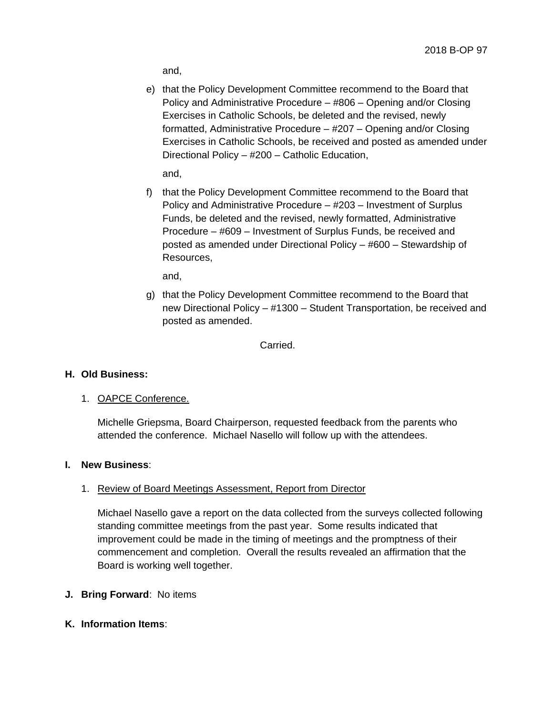and,

e) that the Policy Development Committee recommend to the Board that Policy and Administrative Procedure – #806 – Opening and/or Closing Exercises in Catholic Schools, be deleted and the revised, newly formatted, Administrative Procedure – #207 – Opening and/or Closing Exercises in Catholic Schools, be received and posted as amended under Directional Policy – #200 – Catholic Education,

and,

f) that the Policy Development Committee recommend to the Board that Policy and Administrative Procedure – #203 – Investment of Surplus Funds, be deleted and the revised, newly formatted, Administrative Procedure – #609 – Investment of Surplus Funds, be received and posted as amended under Directional Policy – #600 – Stewardship of Resources,

and,

g) that the Policy Development Committee recommend to the Board that new Directional Policy – #1300 – Student Transportation, be received and posted as amended.

Carried.

#### **H. Old Business:**

1. OAPCE Conference.

Michelle Griepsma, Board Chairperson, requested feedback from the parents who attended the conference. Michael Nasello will follow up with the attendees.

#### **I. New Business**:

#### 1. Review of Board Meetings Assessment, Report from Director

Michael Nasello gave a report on the data collected from the surveys collected following standing committee meetings from the past year. Some results indicated that improvement could be made in the timing of meetings and the promptness of their commencement and completion. Overall the results revealed an affirmation that the Board is working well together.

- **J. Bring Forward**: No items
- **K. Information Items**: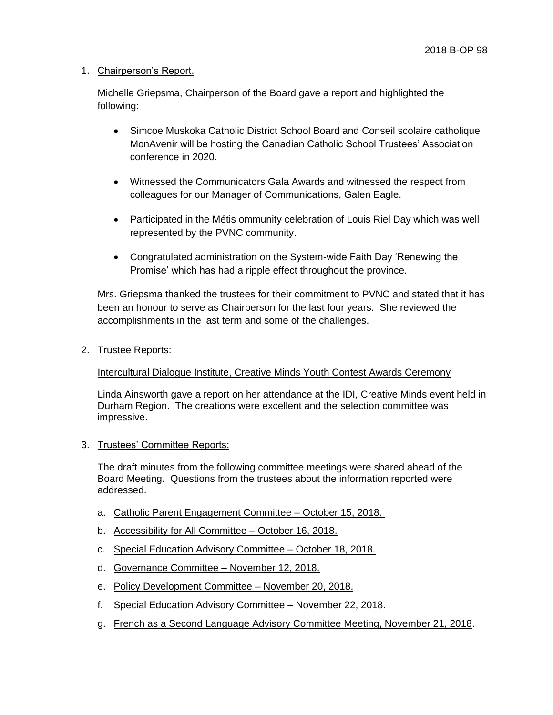### 1. Chairperson's Report.

Michelle Griepsma, Chairperson of the Board gave a report and highlighted the following:

- Simcoe Muskoka Catholic District School Board and Conseil scolaire catholique MonAvenir will be hosting the Canadian Catholic School Trustees' Association conference in 2020.
- Witnessed the Communicators Gala Awards and witnessed the respect from colleagues for our Manager of Communications, Galen Eagle.
- Participated in the Métis ommunity celebration of Louis Riel Day which was well represented by the PVNC community.
- Congratulated administration on the System-wide Faith Day 'Renewing the Promise' which has had a ripple effect throughout the province.

Mrs. Griepsma thanked the trustees for their commitment to PVNC and stated that it has been an honour to serve as Chairperson for the last four years. She reviewed the accomplishments in the last term and some of the challenges.

2. Trustee Reports:

## Intercultural Dialogue Institute, Creative Minds Youth Contest Awards Ceremony

Linda Ainsworth gave a report on her attendance at the IDI, Creative Minds event held in Durham Region. The creations were excellent and the selection committee was impressive.

3. Trustees' Committee Reports:

The draft minutes from the following committee meetings were shared ahead of the Board Meeting. Questions from the trustees about the information reported were addressed.

- a. Catholic Parent Engagement Committee October 15, 2018.
- b. Accessibility for All Committee October 16, 2018.
- c. Special Education Advisory Committee October 18, 2018.
- d. Governance Committee November 12, 2018.
- e. Policy Development Committee November 20, 2018.
- f. Special Education Advisory Committee November 22, 2018.
- g. French as a Second Language Advisory Committee Meeting, November 21, 2018.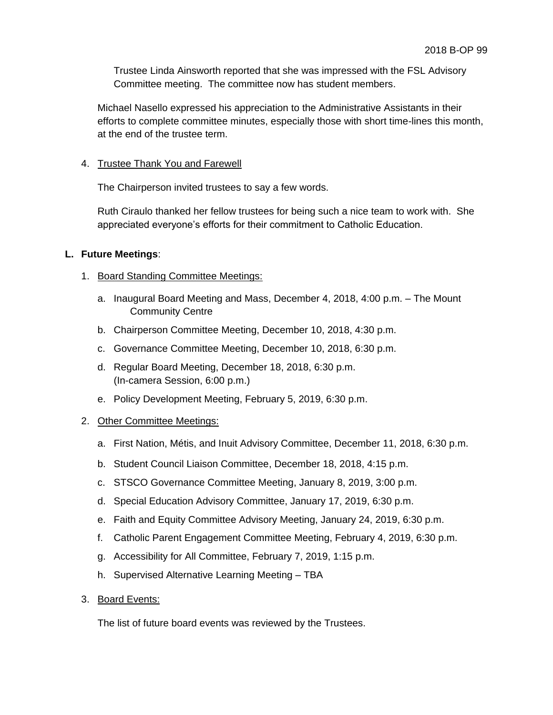Trustee Linda Ainsworth reported that she was impressed with the FSL Advisory Committee meeting. The committee now has student members.

Michael Nasello expressed his appreciation to the Administrative Assistants in their efforts to complete committee minutes, especially those with short time-lines this month, at the end of the trustee term.

## 4. Trustee Thank You and Farewell

The Chairperson invited trustees to say a few words.

Ruth Ciraulo thanked her fellow trustees for being such a nice team to work with. She appreciated everyone's efforts for their commitment to Catholic Education.

## **L. Future Meetings**:

# 1. Board Standing Committee Meetings:

- a. Inaugural Board Meeting and Mass, December 4, 2018, 4:00 p.m. The Mount Community Centre
- b. Chairperson Committee Meeting, December 10, 2018, 4:30 p.m.
- c. Governance Committee Meeting, December 10, 2018, 6:30 p.m.
- d. Regular Board Meeting, December 18, 2018, 6:30 p.m. (In-camera Session, 6:00 p.m.)
- e. Policy Development Meeting, February 5, 2019, 6:30 p.m.

# 2. Other Committee Meetings:

- a. First Nation, Métis, and Inuit Advisory Committee, December 11, 2018, 6:30 p.m.
- b. Student Council Liaison Committee, December 18, 2018, 4:15 p.m.
- c. STSCO Governance Committee Meeting, January 8, 2019, 3:00 p.m.
- d. Special Education Advisory Committee, January 17, 2019, 6:30 p.m.
- e. Faith and Equity Committee Advisory Meeting, January 24, 2019, 6:30 p.m.
- f. Catholic Parent Engagement Committee Meeting, February 4, 2019, 6:30 p.m.
- g. Accessibility for All Committee, February 7, 2019, 1:15 p.m.
- h. Supervised Alternative Learning Meeting TBA
- 3. Board Events:

The list of future board events was reviewed by the Trustees.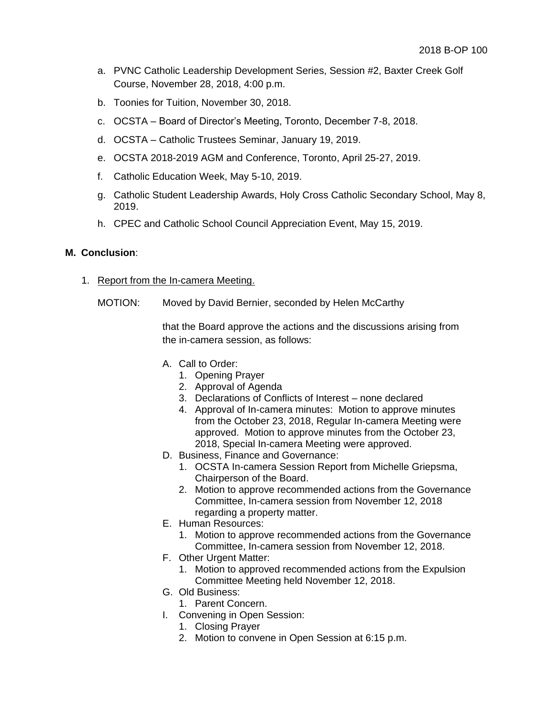- a. PVNC Catholic Leadership Development Series, Session #2, Baxter Creek Golf Course, November 28, 2018, 4:00 p.m.
- b. Toonies for Tuition, November 30, 2018.
- c. OCSTA Board of Director's Meeting, Toronto, December 7-8, 2018.
- d. OCSTA Catholic Trustees Seminar, January 19, 2019.
- e. OCSTA 2018-2019 AGM and Conference, Toronto, April 25-27, 2019.
- f. Catholic Education Week, May 5-10, 2019.
- g. Catholic Student Leadership Awards, Holy Cross Catholic Secondary School, May 8, 2019.
- h. CPEC and Catholic School Council Appreciation Event, May 15, 2019.

## **M. Conclusion**:

- 1. Report from the In-camera Meeting.
	- MOTION: Moved by David Bernier, seconded by Helen McCarthy

that the Board approve the actions and the discussions arising from the in-camera session, as follows:

- A. Call to Order:
	- 1. Opening Prayer
	- 2. Approval of Agenda
	- 3. Declarations of Conflicts of Interest none declared
	- 4. Approval of In-camera minutes: Motion to approve minutes from the October 23, 2018, Regular In-camera Meeting were approved. Motion to approve minutes from the October 23, 2018, Special In-camera Meeting were approved.
- D. Business, Finance and Governance:
	- 1. OCSTA In-camera Session Report from Michelle Griepsma, Chairperson of the Board.
	- 2. Motion to approve recommended actions from the Governance Committee, In-camera session from November 12, 2018 regarding a property matter.
- E. Human Resources:
	- 1. Motion to approve recommended actions from the Governance Committee, In-camera session from November 12, 2018.
- F. Other Urgent Matter:
	- 1. Motion to approved recommended actions from the Expulsion Committee Meeting held November 12, 2018.
- G. Old Business:
	- 1. Parent Concern.
- I. Convening in Open Session:
	- 1. Closing Prayer
	- 2. Motion to convene in Open Session at 6:15 p.m.